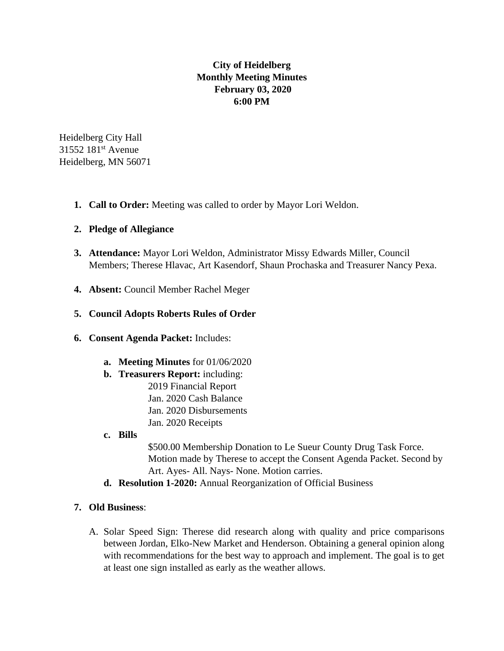# **City of Heidelberg Monthly Meeting Minutes February 03, 2020 6:00 PM**

Heidelberg City Hall 31552 181st Avenue Heidelberg, MN 56071

**1. Call to Order:** Meeting was called to order by Mayor Lori Weldon.

## **2. Pledge of Allegiance**

- **3. Attendance:** Mayor Lori Weldon, Administrator Missy Edwards Miller, Council Members; Therese Hlavac, Art Kasendorf, Shaun Prochaska and Treasurer Nancy Pexa.
- **4. Absent:** Council Member Rachel Meger

## **5. Council Adopts Roberts Rules of Order**

- **6. Consent Agenda Packet:** Includes:
	- **a. Meeting Minutes** for 01/06/2020
	- **b. Treasurers Report:** including:
		- 2019 Financial Report Jan. 2020 Cash Balance Jan. 2020 Disbursements Jan. 2020 Receipts
	- **c. Bills**

\$500.00 Membership Donation to Le Sueur County Drug Task Force. Motion made by Therese to accept the Consent Agenda Packet. Second by Art. Ayes- All. Nays- None. Motion carries.

**d. Resolution 1-2020:** Annual Reorganization of Official Business

#### **7. Old Business**:

A. Solar Speed Sign: Therese did research along with quality and price comparisons between Jordan, Elko-New Market and Henderson. Obtaining a general opinion along with recommendations for the best way to approach and implement. The goal is to get at least one sign installed as early as the weather allows.